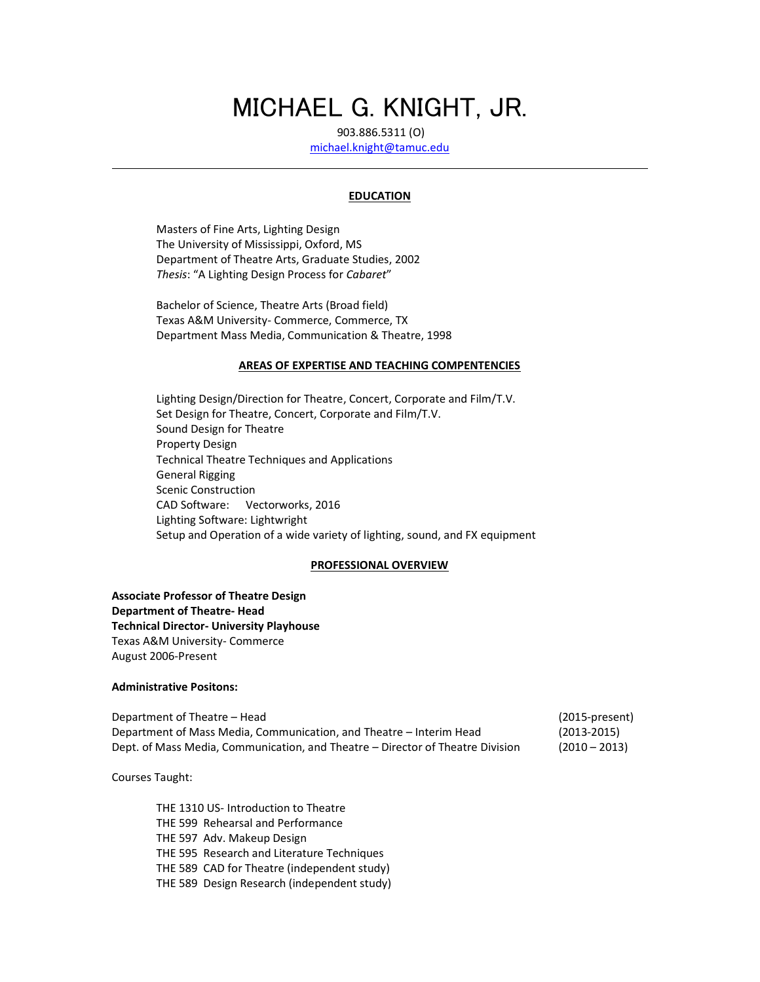# MICHAEL G. KNIGHT, JR.

903.886.5311 (O) [michael.knight@tamuc.edu](mailto:michael.knight@tamuc.edu)

#### **EDUCATION**

Masters of Fine Arts, Lighting Design The University of Mississippi, Oxford, MS Department of Theatre Arts, Graduate Studies, 2002 *Thesis*: "A Lighting Design Process for *Cabaret*"

Bachelor of Science, Theatre Arts (Broad field) Texas A&M University- Commerce, Commerce, TX Department Mass Media, Communication & Theatre, 1998

#### **AREAS OF EXPERTISE AND TEACHING COMPENTENCIES**

Lighting Design/Direction for Theatre, Concert, Corporate and Film/T.V. Set Design for Theatre, Concert, Corporate and Film/T.V. Sound Design for Theatre Property Design Technical Theatre Techniques and Applications General Rigging Scenic Construction CAD Software: Vectorworks, 2016 Lighting Software: Lightwright Setup and Operation of a wide variety of lighting, sound, and FX equipment

#### **PROFESSIONAL OVERVIEW**

**Associate Professor of Theatre Design Department of Theatre- Head Technical Director- University Playhouse** Texas A&M University- Commerce August 2006-Present

#### **Administrative Positons:**

Department of Theatre – Head (2015-present) Department of Mass Media, Communication, and Theatre – Interim Head (2013-2015) Dept. of Mass Media, Communication, and Theatre – Director of Theatre Division (2010 – 2013)

i<br>L

Courses Taught:

THE 1310 US- Introduction to Theatre THE 599 Rehearsal and Performance THE 597 Adv. Makeup Design THE 595 Research and Literature Techniques THE 589 CAD for Theatre (independent study) THE 589 Design Research (independent study)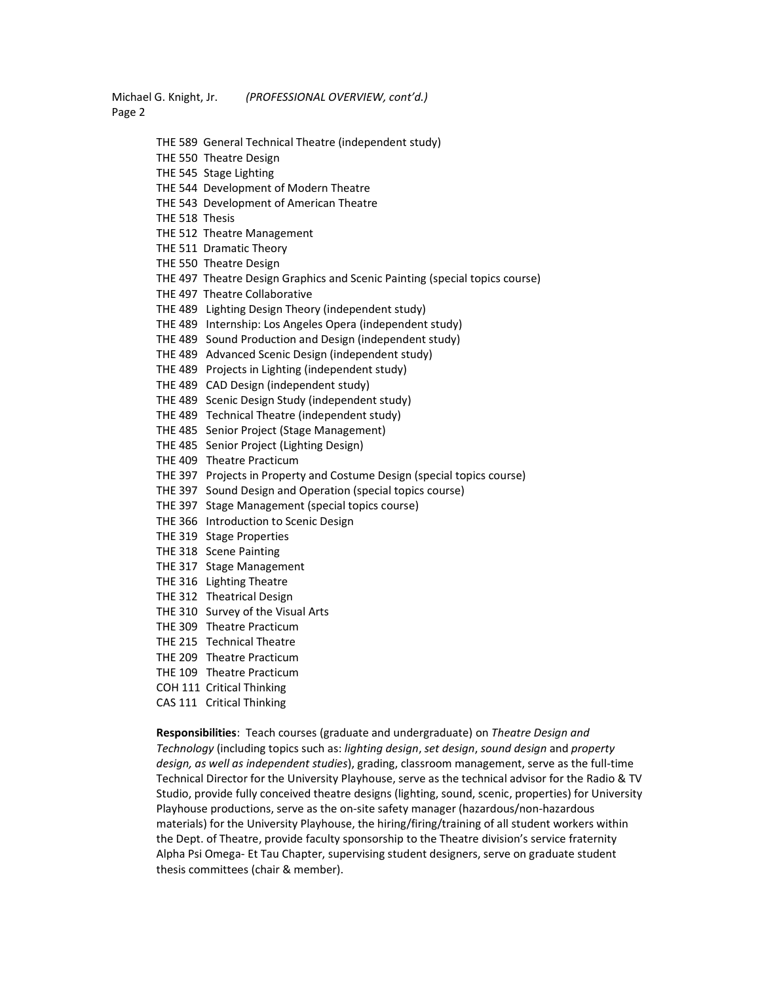Michael G. Knight, Jr. *(PROFESSIONAL OVERVIEW, cont'd.)* Page 2

- THE 589 General Technical Theatre (independent study)
- THE 550 Theatre Design
- THE 545 Stage Lighting
- THE 544 Development of Modern Theatre
- THE 543 Development of American Theatre
- THE 518 Thesis
- THE 512 Theatre Management
- THE 511 Dramatic Theory
- THE 550 Theatre Design
- THE 497 Theatre Design Graphics and Scenic Painting (special topics course)
- THE 497 Theatre Collaborative
- THE 489 Lighting Design Theory (independent study)
- THE 489 Internship: Los Angeles Opera (independent study)
- THE 489 Sound Production and Design (independent study)
- THE 489 Advanced Scenic Design (independent study)
- THE 489 Projects in Lighting (independent study)
- THE 489 CAD Design (independent study)
- THE 489 Scenic Design Study (independent study)
- THE 489 Technical Theatre (independent study)
- THE 485 Senior Project (Stage Management)
- THE 485 Senior Project (Lighting Design)
- THE 409 Theatre Practicum
- THE 397 Projects in Property and Costume Design (special topics course)
- THE 397 Sound Design and Operation (special topics course)
- THE 397 Stage Management (special topics course)
- THE 366 Introduction to Scenic Design
- THE 319 Stage Properties
- THE 318 Scene Painting
- THE 317 Stage Management
- THE 316 Lighting Theatre
- THE 312 Theatrical Design
- THE 310 Survey of the Visual Arts
- THE 309 Theatre Practicum
- THE 215 Technical Theatre
- THE 209 Theatre Practicum
- THE 109 Theatre Practicum
- COH 111 Critical Thinking
- CAS 111 Critical Thinking

**Responsibilities**: Teach courses (graduate and undergraduate) on *Theatre Design and Technology* (including topics such as: *lighting design*, *set design*, *sound design* and *property design, as well as independent studies*), grading, classroom management, serve as the full-time Technical Director for the University Playhouse, serve as the technical advisor for the Radio & TV Studio, provide fully conceived theatre designs (lighting, sound, scenic, properties) for University Playhouse productions, serve as the on-site safety manager (hazardous/non-hazardous materials) for the University Playhouse, the hiring/firing/training of all student workers within the Dept. of Theatre, provide faculty sponsorship to the Theatre division's service fraternity Alpha Psi Omega- Et Tau Chapter, supervising student designers, serve on graduate student thesis committees (chair & member).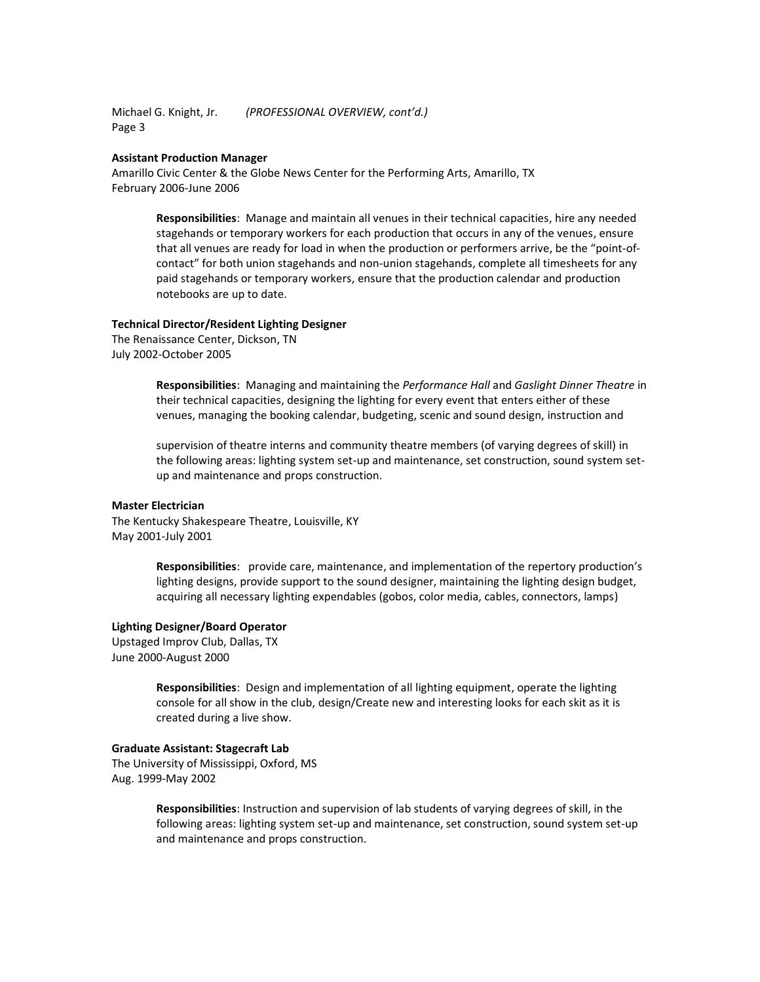Michael G. Knight, Jr. *(PROFESSIONAL OVERVIEW, cont'd.)* Page 3

#### **Assistant Production Manager**

Amarillo Civic Center & the Globe News Center for the Performing Arts, Amarillo, TX February 2006-June 2006

> **Responsibilities**: Manage and maintain all venues in their technical capacities, hire any needed stagehands or temporary workers for each production that occurs in any of the venues, ensure that all venues are ready for load in when the production or performers arrive, be the "point-ofcontact" for both union stagehands and non-union stagehands, complete all timesheets for any paid stagehands or temporary workers, ensure that the production calendar and production notebooks are up to date.

#### **Technical Director/Resident Lighting Designer**

The Renaissance Center, Dickson, TN July 2002-October 2005

> **Responsibilities**: Managing and maintaining the *Performance Hall* and *Gaslight Dinner Theatre* in their technical capacities, designing the lighting for every event that enters either of these venues, managing the booking calendar, budgeting, scenic and sound design, instruction and

> supervision of theatre interns and community theatre members (of varying degrees of skill) in the following areas: lighting system set-up and maintenance, set construction, sound system setup and maintenance and props construction.

## **Master Electrician**

The Kentucky Shakespeare Theatre, Louisville, KY May 2001-July 2001

> **Responsibilities**: provide care, maintenance, and implementation of the repertory production's lighting designs, provide support to the sound designer, maintaining the lighting design budget, acquiring all necessary lighting expendables (gobos, color media, cables, connectors, lamps)

#### **Lighting Designer/Board Operator**

Upstaged Improv Club, Dallas, TX June 2000-August 2000

> **Responsibilities**: Design and implementation of all lighting equipment, operate the lighting console for all show in the club, design/Create new and interesting looks for each skit as it is created during a live show.

### **Graduate Assistant: Stagecraft Lab**

The University of Mississippi, Oxford, MS Aug. 1999-May 2002

> **Responsibilities**: Instruction and supervision of lab students of varying degrees of skill, in the following areas: lighting system set-up and maintenance, set construction, sound system set-up and maintenance and props construction.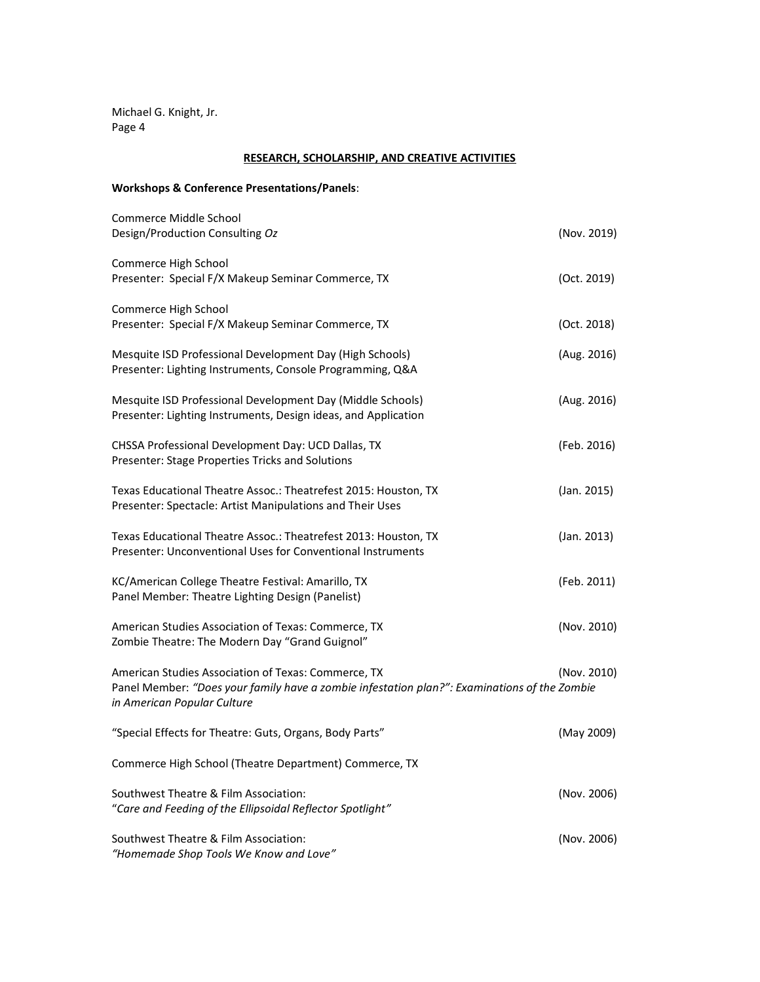Michael G. Knight, Jr. Page 4

## **RESEARCH, SCHOLARSHIP, AND CREATIVE ACTIVITIES**

## **Workshops & Conference Presentations/Panels**:

| Commerce Middle School<br>Design/Production Consulting Oz                                                                                                                          | (Nov. 2019) |
|------------------------------------------------------------------------------------------------------------------------------------------------------------------------------------|-------------|
| Commerce High School<br>Presenter: Special F/X Makeup Seminar Commerce, TX                                                                                                         | (Oct. 2019) |
| Commerce High School<br>Presenter: Special F/X Makeup Seminar Commerce, TX                                                                                                         | (Oct. 2018) |
| Mesquite ISD Professional Development Day (High Schools)<br>Presenter: Lighting Instruments, Console Programming, Q&A                                                              | (Aug. 2016) |
| Mesquite ISD Professional Development Day (Middle Schools)<br>Presenter: Lighting Instruments, Design ideas, and Application                                                       | (Aug. 2016) |
| CHSSA Professional Development Day: UCD Dallas, TX<br>Presenter: Stage Properties Tricks and Solutions                                                                             | (Feb. 2016) |
| Texas Educational Theatre Assoc.: Theatrefest 2015: Houston, TX<br>Presenter: Spectacle: Artist Manipulations and Their Uses                                                       | (Jan. 2015) |
| Texas Educational Theatre Assoc.: Theatrefest 2013: Houston, TX<br>Presenter: Unconventional Uses for Conventional Instruments                                                     | (Jan. 2013) |
| KC/American College Theatre Festival: Amarillo, TX<br>Panel Member: Theatre Lighting Design (Panelist)                                                                             | (Feb. 2011) |
| American Studies Association of Texas: Commerce, TX<br>Zombie Theatre: The Modern Day "Grand Guignol"                                                                              | (Nov. 2010) |
| American Studies Association of Texas: Commerce, TX<br>Panel Member: "Does your family have a zombie infestation plan?": Examinations of the Zombie<br>in American Popular Culture | (Nov. 2010) |
| "Special Effects for Theatre: Guts, Organs, Body Parts"                                                                                                                            | (May 2009)  |
| Commerce High School (Theatre Department) Commerce, TX                                                                                                                             |             |
| Southwest Theatre & Film Association:<br>"Care and Feeding of the Ellipsoidal Reflector Spotlight"                                                                                 | (Nov. 2006) |
| Southwest Theatre & Film Association:<br>"Homemade Shop Tools We Know and Love"                                                                                                    | (Nov. 2006) |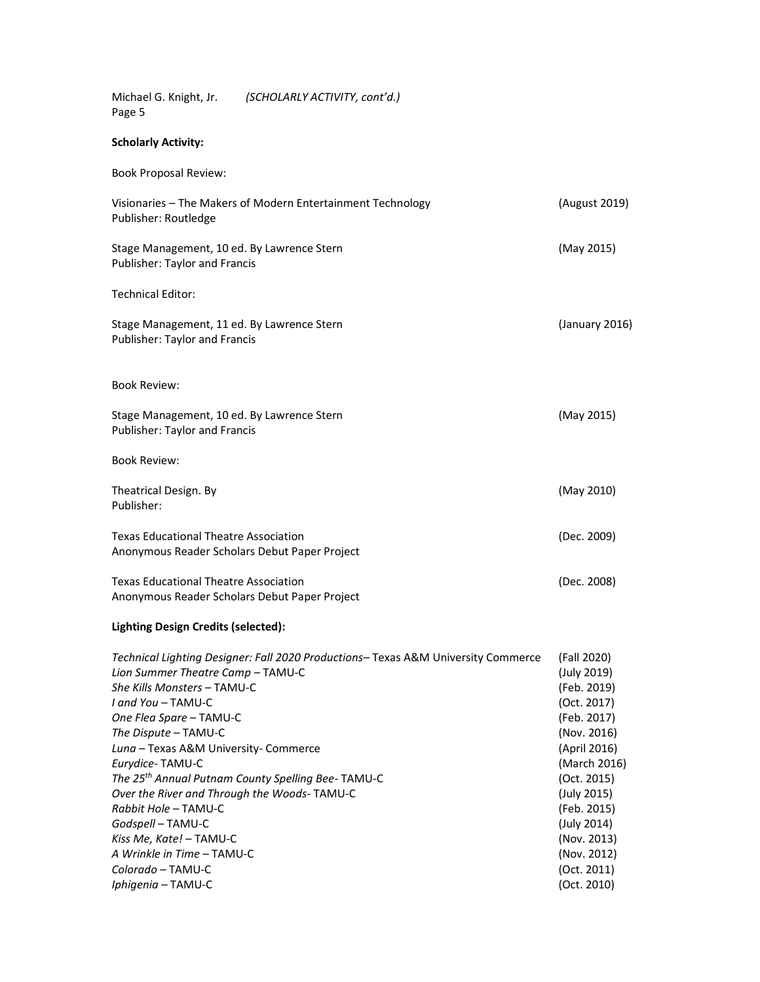Michael G. Knight, Jr. *(SCHOLARLY ACTIVITY, cont'd.)* Page 5

## **Scholarly Activity:**

| <b>Book Proposal Review:</b>                                                                  |                |
|-----------------------------------------------------------------------------------------------|----------------|
| Visionaries - The Makers of Modern Entertainment Technology<br>Publisher: Routledge           | (August 2019)  |
| Stage Management, 10 ed. By Lawrence Stern<br><b>Publisher: Taylor and Francis</b>            | (May 2015)     |
| <b>Technical Editor:</b>                                                                      |                |
| Stage Management, 11 ed. By Lawrence Stern<br><b>Publisher: Taylor and Francis</b>            | (January 2016) |
| <b>Book Review:</b>                                                                           |                |
| Stage Management, 10 ed. By Lawrence Stern<br>Publisher: Taylor and Francis                   | (May 2015)     |
| <b>Book Review:</b>                                                                           |                |
| Theatrical Design. By<br>Publisher:                                                           | (May 2010)     |
| <b>Texas Educational Theatre Association</b><br>Anonymous Reader Scholars Debut Paper Project | (Dec. 2009)    |
| <b>Texas Educational Theatre Association</b><br>Anonymous Reader Scholars Debut Paper Project | (Dec. 2008)    |
|                                                                                               |                |

## **Lighting Design Credits (selected):**

| Technical Lighting Designer: Fall 2020 Productions–Texas A&M University Commerce | (Fall 2020)  |
|----------------------------------------------------------------------------------|--------------|
| Lion Summer Theatre Camp - TAMU-C                                                | (July 2019)  |
| She Kills Monsters – TAMU-C                                                      | (Feb. 2019)  |
| I and You - TAMU-C                                                               | (Oct. 2017)  |
| One Flea Spare - TAMU-C                                                          | (Feb. 2017)  |
| The Dispute - TAMU-C                                                             | (Nov. 2016)  |
| Luna - Texas A&M University- Commerce                                            | (April 2016) |
| Eurydice-TAMU-C                                                                  | (March 2016) |
| The 25 <sup>th</sup> Annual Putnam County Spelling Bee-TAMU-C                    | (Oct. 2015)  |
| Over the River and Through the Woods-TAMU-C                                      | (July 2015)  |
| Rabbit Hole - TAMU-C                                                             | (Feb. 2015)  |
| Godspell - TAMU-C                                                                | (July 2014)  |
| Kiss Me, Kate! - TAMU-C                                                          | (Nov. 2013)  |
| A Wrinkle in Time – TAMU-C                                                       | (Nov. 2012)  |
| Colorado – TAMU-C                                                                | (Oct. 2011)  |
| Iphigenia - TAMU-C                                                               | (Oct. 2010)  |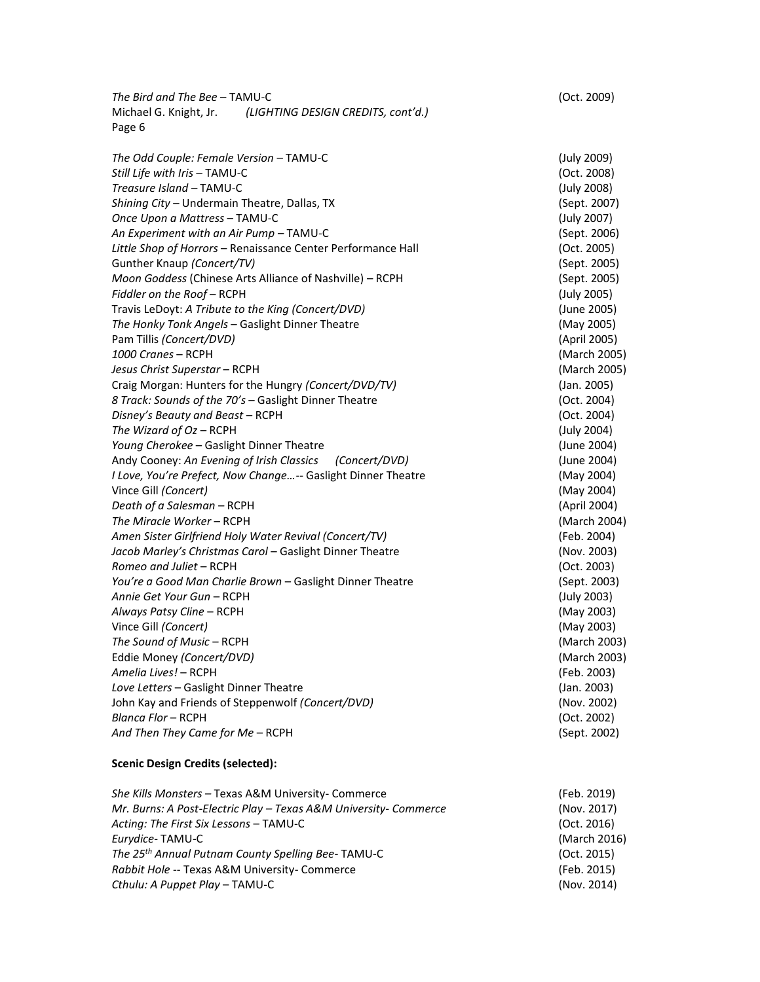*The Bird and The Bee* – TAMU-C (Oct. 2009) Michael G. Knight, Jr. *(LIGHTING DESIGN CREDITS, cont'd.)* Page 6

*The Odd Couple: Female Version* – TAMU-C (July 2009) *Still Life with Iris –* TAMU-C (Oct. 2008) *Treasure Island –* TAMU-C (July 2008) *Shining City –* Undermain Theatre, Dallas, TX (Sept. 2007) *Once Upon a Mattress* – TAMU-C (July 2007) *An Experiment with an Air Pump* – TAMU-C (Sept. 2006) *Little Shop of Horrors* – Renaissance Center Performance Hall (Oct. 2005) Gunther Knaup *(Concert/TV)* (Sept. 2005) *Moon Goddess* (Chinese Arts Alliance of Nashville) – RCPH (Sept. 2005) *Fiddler on the Roof* – RCPH (July 2005) Travis LeDoyt: *A Tribute to the King (Concert/DVD)* (June 2005) *The Honky Tonk Angels* – Gaslight Dinner Theatre (May 2005) Pam Tillis *(Concert/DVD)* (April 2005) *1000 Cranes* – RCPH (March 2005) *Jesus Christ Superstar* – RCPH (March 2005) Craig Morgan: Hunters for the Hungry *(Concert/DVD/TV)* (Jan. 2005) *8 Track: Sounds of the 70's* – Gaslight Dinner Theatre (Oct. 2004) *Disney's Beauty and Beast* – RCPH (Oct. 2004) *The Wizard of Oz* – RCPH (July 2004) *Young Cherokee* – Gaslight Dinner Theatre (June 2004) Andy Cooney: *An Evening of Irish Classics (Concert/DVD)* (June 2004) *I Love, You're Prefect, Now Change…*-- Gaslight Dinner Theatre (May 2004) Vince Gill *(Concert)* (May 2004) *Death of a Salesman* – RCPH (April 2004) *The Miracle Worker* – RCPH (March 2004) *Amen Sister Girlfriend Holy Water Revival (Concert/TV)* (Feb. 2004) *Jacob Marley's Christmas Carol* – Gaslight Dinner Theatre (Nov. 2003) *Romeo and Juliet* – RCPH (Oct. 2003) *You're a Good Man Charlie Brown* – Gaslight Dinner Theatre (Sept. 2003) *Annie Get Your Gun* – RCPH (July 2003) *Always Patsy Cline* – RCPH (May 2003) Vince Gill *(Concert)* (May 2003) *The Sound of Music* – RCPH (March 2003) Eddie Money *(Concert/DVD)* (March 2003) *Amelia Lives!* – RCPH (Feb. 2003) *Love Letters* – Gaslight Dinner Theatre (Jan. 2003) John Kay and Friends of Steppenwolf *(Concert/DVD)* (Nov. 2002) *Blanca Flor* – RCPH (Oct. 2002) *And Then They Came for Me* – RCPH (Sept. 2002)

### **Scenic Design Credits (selected):**

| Mr. Burns: A Post-Electric Play – Texas A&M University- Commerce<br>(Nov. 2017) |  |
|---------------------------------------------------------------------------------|--|
|                                                                                 |  |
| (Oct. 2016)<br>Acting: The First Six Lessons – TAMU-C                           |  |
| (March 2016)<br>Eurydice-TAMU-C                                                 |  |
| The 25 <sup>th</sup> Annual Putnam County Spelling Bee-TAMU-C<br>(Oct. 2015)    |  |
| (Feb. 2015)<br>Rabbit Hole -- Texas A&M University- Commerce                    |  |
| (Nov. 2014)<br>Cthulu: A Puppet Play – TAMU-C                                   |  |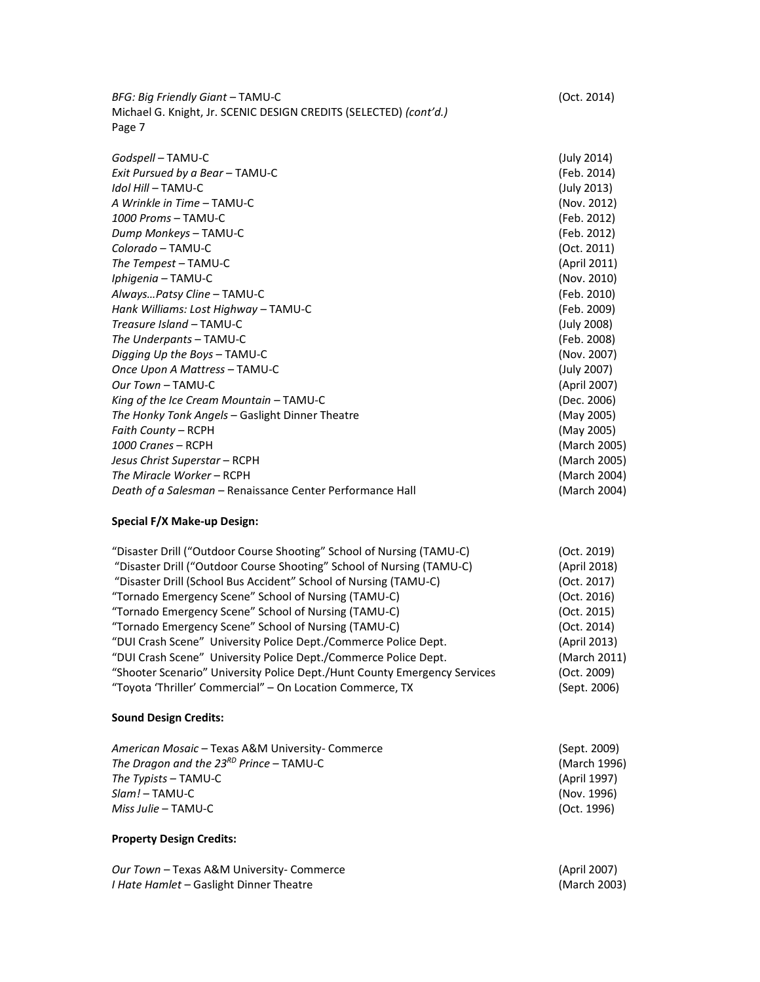*BFG: Big Friendly Giant* – TAMU-C (Oct. 2014) Michael G. Knight, Jr. SCENIC DESIGN CREDITS (SELECTED) *(cont'd.)* Page 7

| Godspell – TAMU-C                                         | (July 2014)  |
|-----------------------------------------------------------|--------------|
| Exit Pursued by a Bear - TAMU-C                           | (Feb. 2014)  |
| Idol Hill - TAMU-C                                        | (July 2013)  |
| A Wrinkle in Time - TAMU-C                                | (Nov. 2012)  |
| 1000 Proms - TAMU-C                                       | (Feb. 2012)  |
| Dump Monkeys - TAMU-C                                     | (Feb. 2012)  |
| Colorado - TAMU-C                                         | (Oct. 2011)  |
| The Tempest - TAMU-C                                      | (April 2011) |
| Iphigenia - TAMU-C                                        | (Nov. 2010)  |
| AlwaysPatsy Cline - TAMU-C                                | (Feb. 2010)  |
| Hank Williams: Lost Highway - TAMU-C                      | (Feb. 2009)  |
| Treasure Island - TAMU-C                                  | (July 2008)  |
| The Underpants - TAMU-C                                   | (Feb. 2008)  |
| Digging Up the Boys - TAMU-C                              | (Nov. 2007)  |
| Once Upon A Mattress - TAMU-C                             | (July 2007)  |
| Our Town - TAMU-C                                         | (April 2007) |
| King of the Ice Cream Mountain $-$ TAMU-C                 | (Dec. 2006)  |
| The Honky Tonk Angels - Gaslight Dinner Theatre           | (May 2005)   |
| Faith County – RCPH                                       | (May 2005)   |
| 1000 Cranes - RCPH                                        | (March 2005) |
| Jesus Christ Superstar – RCPH                             | (March 2005) |
| The Miracle Worker - RCPH                                 | (March 2004) |
| Death of a Salesman - Renaissance Center Performance Hall | (March 2004) |

## **Special F/X Make-up Design:**

| "Disaster Drill ("Outdoor Course Shooting" School of Nursing (TAMU-C)     | (Oct. 2019)  |
|---------------------------------------------------------------------------|--------------|
| "Disaster Drill ("Outdoor Course Shooting" School of Nursing (TAMU-C)     | (April 2018) |
| "Disaster Drill (School Bus Accident" School of Nursing (TAMU-C)          | (Oct. 2017)  |
| "Tornado Emergency Scene" School of Nursing (TAMU-C)                      | (Oct. 2016)  |
| "Tornado Emergency Scene" School of Nursing (TAMU-C)                      | (Oct. 2015)  |
| "Tornado Emergency Scene" School of Nursing (TAMU-C)                      | (Oct. 2014)  |
| "DUI Crash Scene" University Police Dept./Commerce Police Dept.           | (April 2013) |
| "DUI Crash Scene" University Police Dept./Commerce Police Dept.           | (March 2011) |
| "Shooter Scenario" University Police Dept./Hunt County Emergency Services | (Oct. 2009)  |
| "Toyota 'Thriller' Commercial" - On Location Commerce, TX                 | (Sept. 2006) |

## **Sound Design Credits:**

| American Mosaic - Texas A&M University- Commerce | (Sept. 2009) |
|--------------------------------------------------|--------------|
| The Dragon and the $23^{RD}$ Prince - TAMU-C     | (March 1996) |
| The Typists – TAMU-C                             | (April 1997) |
| Slam! – TAMU-C                                   | (Nov. 1996)  |
| <i>Miss Julie –</i> TAMU-C                       | (Oct. 1996)  |

## **Property Design Credits:**

| Our Town - Texas A&M University- Commerce      | (April 2007) |
|------------------------------------------------|--------------|
| <i>I Hate Hamlet –</i> Gaslight Dinner Theatre | (March 2003) |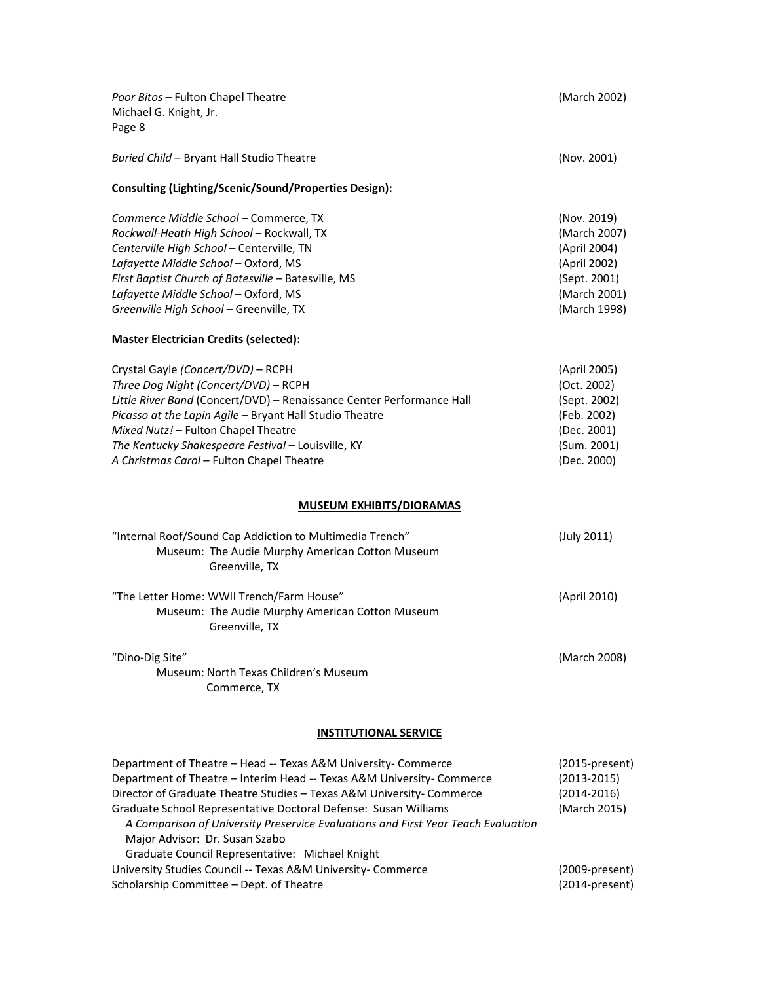| Poor Bitos - Fulton Chapel Theatre<br>Michael G. Knight, Jr.<br>Page 8                                                                                                                                                                                                                                                                                                                                                                                         | (March 2002)                                                                                                |
|----------------------------------------------------------------------------------------------------------------------------------------------------------------------------------------------------------------------------------------------------------------------------------------------------------------------------------------------------------------------------------------------------------------------------------------------------------------|-------------------------------------------------------------------------------------------------------------|
| Buried Child - Bryant Hall Studio Theatre                                                                                                                                                                                                                                                                                                                                                                                                                      | (Nov. 2001)                                                                                                 |
| Consulting (Lighting/Scenic/Sound/Properties Design):                                                                                                                                                                                                                                                                                                                                                                                                          |                                                                                                             |
| Commerce Middle School - Commerce, TX<br>Rockwall-Heath High School - Rockwall, TX<br>Centerville High School - Centerville, TN<br>Lafayette Middle School - Oxford, MS<br>First Baptist Church of Batesville - Batesville, MS<br>Lafayette Middle School - Oxford, MS<br>Greenville High School - Greenville, TX                                                                                                                                              | (Nov. 2019)<br>(March 2007)<br>(April 2004)<br>(April 2002)<br>(Sept. 2001)<br>(March 2001)<br>(March 1998) |
| <b>Master Electrician Credits (selected):</b>                                                                                                                                                                                                                                                                                                                                                                                                                  |                                                                                                             |
| Crystal Gayle (Concert/DVD) - RCPH<br>Three Dog Night (Concert/DVD) - RCPH<br>Little River Band (Concert/DVD) - Renaissance Center Performance Hall<br>Picasso at the Lapin Agile - Bryant Hall Studio Theatre<br>Mixed Nutz! - Fulton Chapel Theatre<br>The Kentucky Shakespeare Festival - Louisville, KY<br>A Christmas Carol - Fulton Chapel Theatre                                                                                                       | (April 2005)<br>(Oct. 2002)<br>(Sept. 2002)<br>(Feb. 2002)<br>(Dec. 2001)<br>(Sum. 2001)<br>(Dec. 2000)     |
| <b>MUSEUM EXHIBITS/DIORAMAS</b>                                                                                                                                                                                                                                                                                                                                                                                                                                |                                                                                                             |
| "Internal Roof/Sound Cap Addiction to Multimedia Trench"<br>Museum: The Audie Murphy American Cotton Museum<br>Greenville, TX                                                                                                                                                                                                                                                                                                                                  | (July 2011)                                                                                                 |
| "The Letter Home: WWII Trench/Farm House"<br>Museum: The Audie Murphy American Cotton Museum<br>Greenville, TX                                                                                                                                                                                                                                                                                                                                                 | (April 2010)                                                                                                |
| "Dino-Dig Site"<br>Museum: North Texas Children's Museum<br>Commerce, TX                                                                                                                                                                                                                                                                                                                                                                                       | (March 2008)                                                                                                |
| <b>INSTITUTIONAL SERVICE</b>                                                                                                                                                                                                                                                                                                                                                                                                                                   |                                                                                                             |
| Department of Theatre - Head -- Texas A&M University- Commerce<br>Department of Theatre - Interim Head -- Texas A&M University- Commerce<br>Director of Graduate Theatre Studies - Texas A&M University- Commerce<br>Graduate School Representative Doctoral Defense: Susan Williams<br>A Comparison of University Preservice Evaluations and First Year Teach Evaluation<br>Major Advisor: Dr. Susan Szabo<br>Graduate Council Representative: Michael Knight | $(2015-present)$<br>$(2013 - 2015)$<br>$(2014 - 2016)$<br>(March 2015)                                      |
| University Studies Council -- Texas A&M University- Commerce<br>Scholarship Committee - Dept. of Theatre                                                                                                                                                                                                                                                                                                                                                       | (2009-present)<br>(2014-present)                                                                            |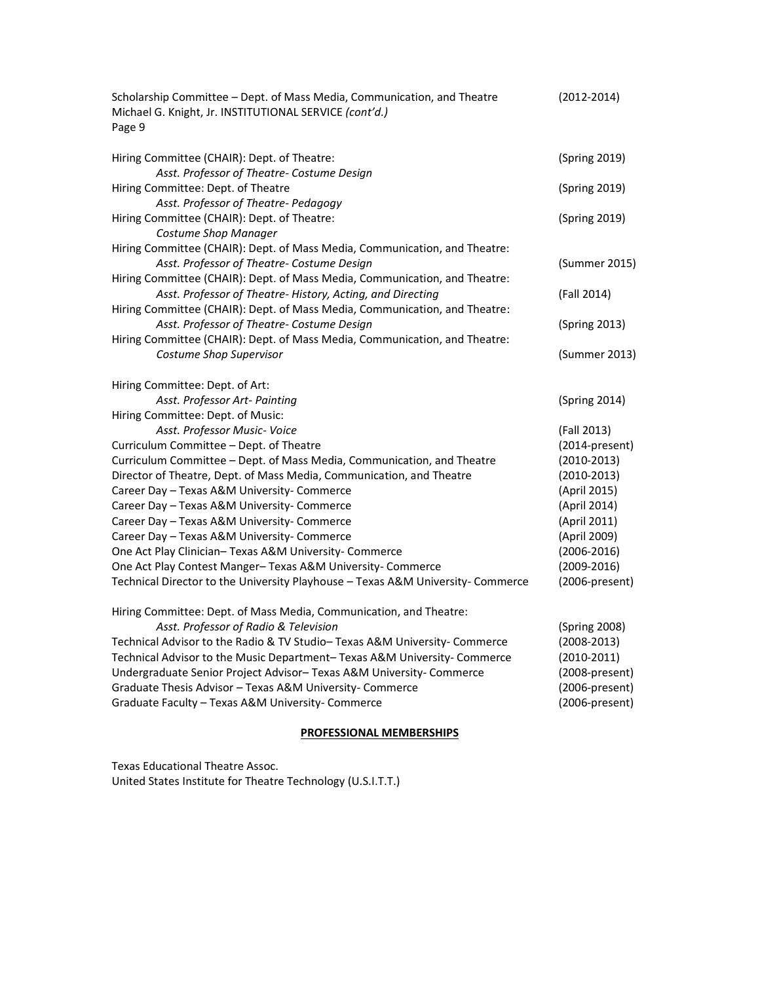| Scholarship Committee - Dept. of Mass Media, Communication, and Theatre<br>Michael G. Knight, Jr. INSTITUTIONAL SERVICE (cont'd.)<br>Page 9 | $(2012 - 2014)$ |
|---------------------------------------------------------------------------------------------------------------------------------------------|-----------------|
| Hiring Committee (CHAIR): Dept. of Theatre:                                                                                                 | (Spring 2019)   |
| Asst. Professor of Theatre- Costume Design                                                                                                  |                 |
| Hiring Committee: Dept. of Theatre<br>Asst. Professor of Theatre- Pedagogy                                                                  | (Spring 2019)   |
| Hiring Committee (CHAIR): Dept. of Theatre:                                                                                                 | (Spring 2019)   |
| Costume Shop Manager                                                                                                                        |                 |
| Hiring Committee (CHAIR): Dept. of Mass Media, Communication, and Theatre:                                                                  |                 |
| Asst. Professor of Theatre- Costume Design                                                                                                  | (Summer 2015)   |
| Hiring Committee (CHAIR): Dept. of Mass Media, Communication, and Theatre:                                                                  |                 |
| Asst. Professor of Theatre- History, Acting, and Directing                                                                                  | (Fall 2014)     |
| Hiring Committee (CHAIR): Dept. of Mass Media, Communication, and Theatre:                                                                  |                 |
| Asst. Professor of Theatre- Costume Design                                                                                                  | (Spring 2013)   |
| Hiring Committee (CHAIR): Dept. of Mass Media, Communication, and Theatre:                                                                  |                 |
| Costume Shop Supervisor                                                                                                                     | (Summer 2013)   |
| Hiring Committee: Dept. of Art:                                                                                                             |                 |
| Asst. Professor Art- Painting                                                                                                               | (Spring 2014)   |
| Hiring Committee: Dept. of Music:                                                                                                           |                 |
| Asst. Professor Music-Voice                                                                                                                 | (Fall 2013)     |
| Curriculum Committee - Dept. of Theatre                                                                                                     | (2014-present)  |
| Curriculum Committee - Dept. of Mass Media, Communication, and Theatre                                                                      | $(2010-2013)$   |
| Director of Theatre, Dept. of Mass Media, Communication, and Theatre                                                                        | $(2010-2013)$   |
| Career Day - Texas A&M University- Commerce                                                                                                 | (April 2015)    |
| Career Day - Texas A&M University- Commerce                                                                                                 | (April 2014)    |
| Career Day - Texas A&M University- Commerce                                                                                                 | (April 2011)    |
| Career Day - Texas A&M University- Commerce                                                                                                 | (April 2009)    |
| One Act Play Clinician-Texas A&M University- Commerce                                                                                       | $(2006 - 2016)$ |
| One Act Play Contest Manger-Texas A&M University-Commerce                                                                                   | $(2009 - 2016)$ |
| Technical Director to the University Playhouse - Texas A&M University- Commerce                                                             | (2006-present)  |
| Hiring Committee: Dept. of Mass Media, Communication, and Theatre:                                                                          |                 |
| Asst. Professor of Radio & Television                                                                                                       | (Spring 2008)   |
| Technical Advisor to the Radio & TV Studio-Texas A&M University- Commerce                                                                   | $(2008 - 2013)$ |
| Technical Advisor to the Music Department-Texas A&M University-Commerce                                                                     | $(2010-2011)$   |
| Undergraduate Senior Project Advisor-Texas A&M University-Commerce                                                                          | (2008-present)  |
| Graduate Thesis Advisor - Texas A&M University- Commerce                                                                                    | (2006-present)  |
| Graduate Faculty - Texas A&M University- Commerce                                                                                           | (2006-present)  |

## **PROFESSIONAL MEMBERSHIPS**

Texas Educational Theatre Assoc.

United States Institute for Theatre Technology (U.S.I.T.T.)